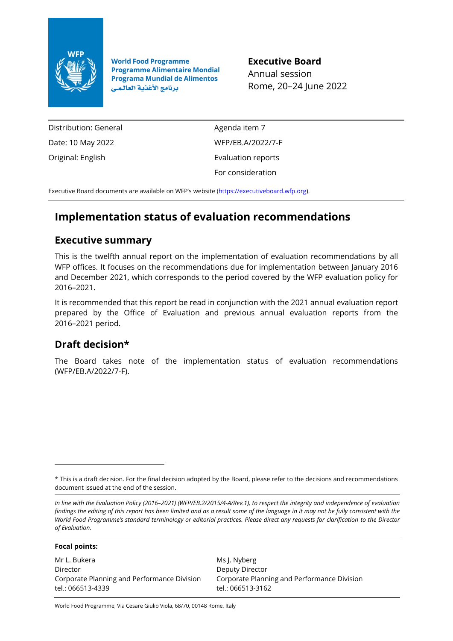

**World Food Programme Programme Alimentaire Mondial Programa Mundial de Alimentos** برنامج الأغذية العالمي

**Executive Board** Annual session Rome, 20–24 June 2022

Distribution: General Date: 10 May 2022 Original: English

Agenda item 7 WFP/EB.A/2022/7-F Evaluation reports For consideration

Executive Board documents are available on WFP's website [\(https://executiveboard.wfp.org\)](https://executiveboard.wfp.org/).

# **Implementation status of evaluation recommendations**

## **Executive summary**

This is the twelfth annual report on the implementation of evaluation recommendations by all WFP offices. It focuses on the recommendations due for implementation between January 2016 and December 2021, which corresponds to the period covered by the WFP evaluation policy for 2016–2021.

It is recommended that this report be read in conjunction with the 2021 annual evaluation report prepared by the Office of Evaluation and previous annual evaluation reports from the 2016–2021 period.

## **Draft decision\***

The Board takes note of the implementation status of evaluation recommendations (WFP/EB.A/2022/7-F).

**Focal points:**

Mr L. Bukera Director Corporate Planning and Performance Division tel.: 066513-4339

Ms J. Nyberg Deputy Director Corporate Planning and Performance Division tel.: 066513-3162

World Food Programme, Via Cesare Giulio Viola, 68/70, 00148 Rome, Italy

<sup>\*</sup> This is a draft decision. For the final decision adopted by the Board, please refer to the decisions and recommendations document issued at the end of the session.

*In line with the Evaluation Policy (2016–2021) (WFP/EB.2/2015/4-A/Rev.1), to respect the integrity and independence of evaluation findings the editing of this report has been limited and as a result some of the language in it may not be fully consistent with the World Food Programme's standard terminology or editorial practices. Please direct any requests for clarification to the Director of Evaluation.*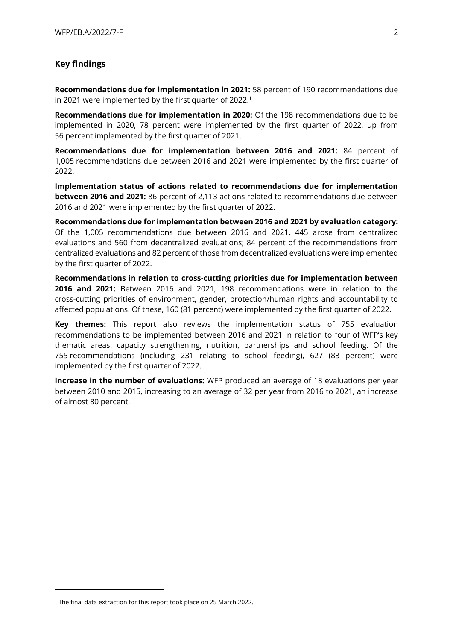#### **Key findings**

**Recommendations due for implementation in 2021:** 58 percent of 190 recommendations due in 2021 were implemented by the first quarter of 2022.<sup>1</sup>

**Recommendations due for implementation in 2020:** Of the 198 recommendations due to be implemented in 2020, 78 percent were implemented by the first quarter of 2022, up from 56 percent implemented by the first quarter of 2021.

**Recommendations due for implementation between 2016 and 2021:** 84 percent of 1,005 recommendations due between 2016 and 2021 were implemented by the first quarter of 2022.

**Implementation status of actions related to recommendations due for implementation between 2016 and 2021:** 86 percent of 2,113 actions related to recommendations due between 2016 and 2021 were implemented by the first quarter of 2022.

**Recommendations due for implementation between 2016 and 2021 by evaluation category:** Of the 1,005 recommendations due between 2016 and 2021, 445 arose from centralized evaluations and 560 from decentralized evaluations; 84 percent of the recommendations from centralized evaluations and 82 percent of those from decentralized evaluations were implemented by the first quarter of 2022.

**Recommendations in relation to cross-cutting priorities due for implementation between 2016 and 2021:** Between 2016 and 2021, 198 recommendations were in relation to the cross-cutting priorities of environment, gender, protection/human rights and accountability to affected populations. Of these, 160 (81 percent) were implemented by the first quarter of 2022.

**Key themes:** This report also reviews the implementation status of 755 evaluation recommendations to be implemented between 2016 and 2021 in relation to four of WFP's key thematic areas: capacity strengthening, nutrition, partnerships and school feeding. Of the 755 recommendations (including 231 relating to school feeding), 627 (83 percent) were implemented by the first quarter of 2022.

**Increase in the number of evaluations:** WFP produced an average of 18 evaluations per year between 2010 and 2015, increasing to an average of 32 per year from 2016 to 2021, an increase of almost 80 percent.

<sup>&</sup>lt;sup>1</sup> The final data extraction for this report took place on 25 March 2022.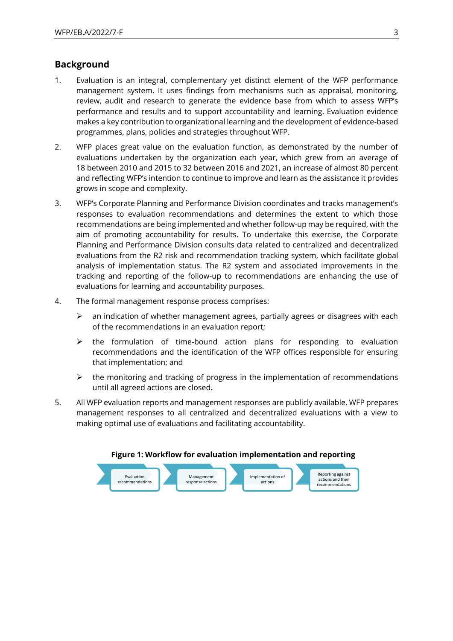## **Background**

- 1. Evaluation is an integral, complementary yet distinct element of the WFP performance management system. It uses findings from mechanisms such as appraisal, monitoring, review, audit and research to generate the evidence base from which to assess WFP's performance and results and to support accountability and learning. Evaluation evidence makes a key contribution to organizational learning and the development of evidence-based programmes, plans, policies and strategies throughout WFP.
- 2. WFP places great value on the evaluation function, as demonstrated by the number of evaluations undertaken by the organization each year, which grew from an average of 18 between 2010 and 2015 to 32 between 2016 and 2021, an increase of almost 80 percent and reflecting WFP's intention to continue to improve and learn as the assistance it provides grows in scope and complexity.
- 3. WFP's Corporate Planning and Performance Division coordinates and tracks management's responses to evaluation recommendations and determines the extent to which those recommendations are being implemented and whether follow-up may be required, with the aim of promoting accountability for results. To undertake this exercise, the Corporate Planning and Performance Division consults data related to centralized and decentralized evaluations from the R2 risk and recommendation tracking system, which facilitate global analysis of implementation status. The R2 system and associated improvements in the tracking and reporting of the follow-up to recommendations are enhancing the use of evaluations for learning and accountability purposes.
- 4. The formal management response process comprises:
	- $\triangleright$  an indication of whether management agrees, partially agrees or disagrees with each of the recommendations in an evaluation report;
	- $\triangleright$  the formulation of time-bound action plans for responding to evaluation recommendations and the identification of the WFP offices responsible for ensuring that implementation; and
	- $\triangleright$  the monitoring and tracking of progress in the implementation of recommendations until all agreed actions are closed.
- 5. All WFP evaluation reports and management responses are publicly available. WFP prepares management responses to all centralized and decentralized evaluations with a view to making optimal use of evaluations and facilitating accountability.



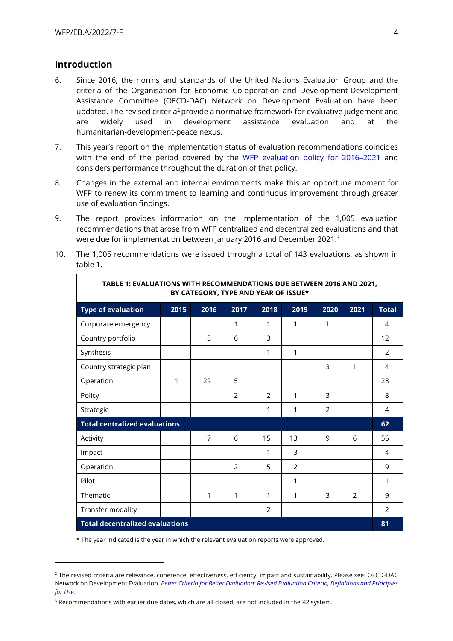### **Introduction**

 $\Gamma$ 

- 6. Since 2016, the norms and standards of the United Nations Evaluation Group and the criteria of the Organisation for Economic Co-operation and Development-Development Assistance Committee (OECD-DAC) Network on Development Evaluation have been updated. The revised criteria<sup>2</sup> provide a normative framework for evaluative judgement and are widely used in development assistance evaluation and at the humanitarian-development-peace nexus.
- 7. This year's report on the implementation status of evaluation recommendations coincides with the end of the period covered by the [WFP evaluation policy for 2016](https://documents.wfp.org/stellent/groups/public/documents/eb/wfp277482.pdf)–2021 and considers performance throughout the duration of that policy.
- 8. Changes in the external and internal environments make this an opportune moment for WFP to renew its commitment to learning and continuous improvement through greater use of evaluation findings.
- 9. The report provides information on the implementation of the 1,005 evaluation recommendations that arose from WFP centralized and decentralized evaluations and that were due for implementation between January 2016 and December 2021.<sup>3</sup>
- 10. The 1,005 recommendations were issued through a total of 143 evaluations, as shown in table 1.

| TABLE 1: EVALUATIONS WITH RECOMMENDATIONS DUE BETWEEN 2016 AND 2021,<br>BY CATEGORY, TYPE AND YEAR OF ISSUE* |                                      |                |                |                |      |      |      |              |
|--------------------------------------------------------------------------------------------------------------|--------------------------------------|----------------|----------------|----------------|------|------|------|--------------|
| <b>Type of evaluation</b>                                                                                    | 2015                                 | 2016           | 2017           | 2018           | 2019 | 2020 | 2021 | <b>Total</b> |
| Corporate emergency                                                                                          |                                      |                | 1              | 1              | 1    | 1    |      | 4            |
| Country portfolio                                                                                            |                                      | 3              | 6              | 3              |      |      |      | 12           |
| Synthesis                                                                                                    |                                      |                |                | 1              | 1    |      |      | 2            |
| Country strategic plan                                                                                       |                                      |                |                |                |      | 3    | 1    | 4            |
| Operation                                                                                                    | 1                                    | 22             | 5              |                |      |      |      | 28           |
| Policy                                                                                                       |                                      |                | $\overline{2}$ | $\overline{2}$ | 1    | 3    |      | 8            |
| Strategic                                                                                                    |                                      |                |                | 1              | 1    | 2    |      | 4            |
|                                                                                                              | <b>Total centralized evaluations</b> |                |                |                |      |      | 62   |              |
| Activity                                                                                                     |                                      | $\overline{7}$ | 6              | 15             | 13   | 9    | 6    | 56           |
| Impact                                                                                                       |                                      |                |                | 1              | 3    |      |      | 4            |
| Operation                                                                                                    |                                      |                | $\overline{2}$ | 5              | 2    |      |      | 9            |
| Pilot                                                                                                        |                                      |                |                |                | 1    |      |      | 1            |
| Thematic                                                                                                     |                                      | 1              | 1              | 1              | 1    | 3    | 2    | 9            |
| Transfer modality                                                                                            |                                      |                |                | $\overline{2}$ |      |      |      | 2            |
| <b>Total decentralized evaluations</b>                                                                       |                                      |                |                |                |      | 81   |      |              |

\* The year indicated is the year in which the relevant evaluation reports were approved.

<sup>2</sup> The revised criteria are relevance, coherence, effectiveness, efficiency, impact and sustainability. Please see: OECD-DAC Network on Development Evaluation. *[Better Criteria for Better Evaluation: Revised Evaluation Criteria, Definitions and Principles](https://www.oecd.org/dac/evaluation/revised-evaluation-criteria-dec-2019.pdf)  [for Use.](https://www.oecd.org/dac/evaluation/revised-evaluation-criteria-dec-2019.pdf)*

<sup>&</sup>lt;sup>3</sup> Recommendations with earlier due dates, which are all closed, are not included in the R2 system.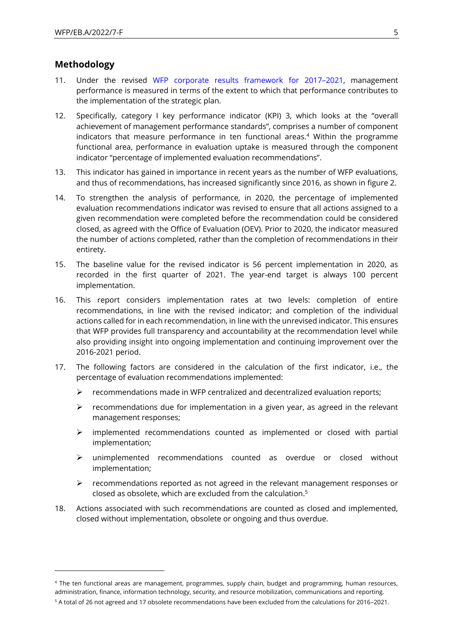#### **Methodology**

- 11. Under the revised [WFP corporate results framework](https://docs.wfp.org/api/documents/WFP-0000099356/download/) for 2017–2021, management performance is measured in terms of the extent to which that performance contributes to the implementation of the strategic plan.
- 12. Specifically, category I key performance indicator (KPI) 3, which looks at the "overall achievement of management performance standards", comprises a number of component indicators that measure performance in ten functional areas.<sup>4</sup> Within the programme functional area, performance in evaluation uptake is measured through the component indicator "percentage of implemented evaluation recommendations".
- 13. This indicator has gained in importance in recent years as the number of WFP evaluations, and thus of recommendations, has increased significantly since 2016, as shown in figure 2.
- 14. To strengthen the analysis of performance, in 2020, the percentage of implemented evaluation recommendations indicator was revised to ensure that all actions assigned to a given recommendation were completed before the recommendation could be considered closed, as agreed with the Office of Evaluation (OEV). Prior to 2020, the indicator measured the number of actions completed, rather than the completion of recommendations in their entirety.
- 15. The baseline value for the revised indicator is 56 percent implementation in 2020, as recorded in the first quarter of 2021. The year-end target is always 100 percent implementation.
- 16. This report considers implementation rates at two levels: completion of entire recommendations, in line with the revised indicator; and completion of the individual actions called for in each recommendation, in line with the unrevised indicator. This ensures that WFP provides full transparency and accountability at the recommendation level while also providing insight into ongoing implementation and continuing improvement over the 2016-2021 period.
- 17. The following factors are considered in the calculation of the first indicator, i.e., the percentage of evaluation recommendations implemented:
	- $\triangleright$  recommendations made in WFP centralized and decentralized evaluation reports;
	- $\triangleright$  recommendations due for implementation in a given year, as agreed in the relevant management responses;
	- ➢ implemented recommendations counted as implemented or closed with partial implementation;
	- ➢ unimplemented recommendations counted as overdue or closed without implementation;
	- $\triangleright$  recommendations reported as not agreed in the relevant management responses or closed as obsolete, which are excluded from the calculation. 5
- 18. Actions associated with such recommendations are counted as closed and implemented, closed without implementation, obsolete or ongoing and thus overdue.

<sup>4</sup> The ten functional areas are management, programmes, supply chain, budget and programming, human resources, administration, finance, information technology, security, and resource mobilization, communications and reporting. <sup>5</sup> A total of 26 not agreed and 17 obsolete recommendations have been excluded from the calculations for 2016–2021.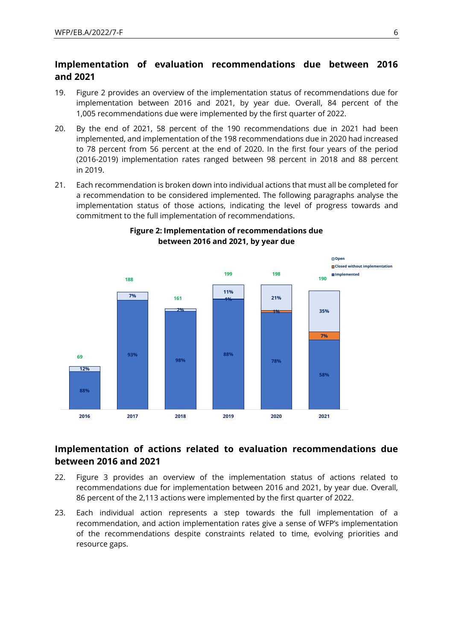## **Implementation of evaluation recommendations due between 2016 and 2021**

- 19. Figure 2 provides an overview of the implementation status of recommendations due for implementation between 2016 and 2021, by year due. Overall, 84 percent of the 1,005 recommendations due were implemented by the first quarter of 2022.
- 20. By the end of 2021, 58 percent of the 190 recommendations due in 2021 had been implemented, and implementation of the 198 recommendations due in 2020 had increased to 78 percent from 56 percent at the end of 2020. In the first four years of the period (2016-2019) implementation rates ranged between 98 percent in 2018 and 88 percent in 2019.
- 21. Each recommendation is broken down into individual actions that must all be completed for a recommendation to be considered implemented. The following paragraphs analyse the implementation status of those actions, indicating the level of progress towards and commitment to the full implementation of recommendations.



#### **Figure 2: Implementation of recommendations due between 2016 and 2021, by year due**

## **Implementation of actions related to evaluation recommendations due between 2016 and 2021**

- 22. Figure 3 provides an overview of the implementation status of actions related to recommendations due for implementation between 2016 and 2021, by year due. Overall, 86 percent of the 2,113 actions were implemented by the first quarter of 2022.
- 23. Each individual action represents a step towards the full implementation of a recommendation, and action implementation rates give a sense of WFP's implementation of the recommendations despite constraints related to time, evolving priorities and resource gaps.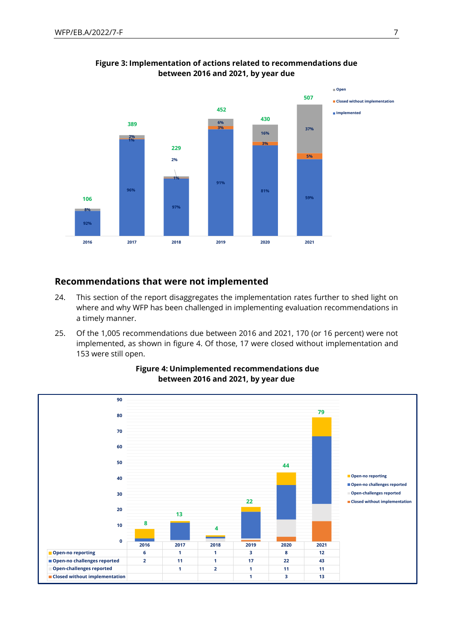

**Figure 3: Implementation of actions related to recommendations due between 2016 and 2021, by year due** 

#### **Recommendations that were not implemented**

- 24. This section of the report disaggregates the implementation rates further to shed light on where and why WFP has been challenged in implementing evaluation recommendations in a timely manner.
- 25. Of the 1,005 recommendations due between 2016 and 2021, 170 (or 16 percent) were not implemented, as shown in figure 4. Of those, 17 were closed without implementation and 153 were still open.



#### **Figure 4: Unimplemented recommendations due between 2016 and 2021, by year due**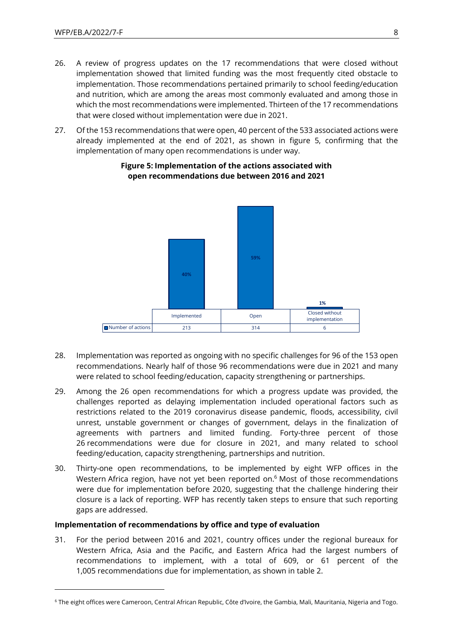- 26. A review of progress updates on the 17 recommendations that were closed without implementation showed that limited funding was the most frequently cited obstacle to implementation. Those recommendations pertained primarily to school feeding/education and nutrition, which are among the areas most commonly evaluated and among those in which the most recommendations were implemented. Thirteen of the 17 recommendations that were closed without implementation were due in 2021.
- 27. Of the 153 recommendations that were open, 40 percent of the 533 associated actions were already implemented at the end of 2021, as shown in figure 5, confirming that the implementation of many open recommendations is under way.



#### **Figure 5: Implementation of the actions associated with open recommendations due between 2016 and 2021**

- 28. Implementation was reported as ongoing with no specific challenges for 96 of the 153 open recommendations. Nearly half of those 96 recommendations were due in 2021 and many were related to school feeding/education, capacity strengthening or partnerships.
- 29. Among the 26 open recommendations for which a progress update was provided, the challenges reported as delaying implementation included operational factors such as restrictions related to the 2019 coronavirus disease pandemic, floods, accessibility, civil unrest, unstable government or changes of government, delays in the finalization of agreements with partners and limited funding. Forty-three percent of those 26 recommendations were due for closure in 2021, and many related to school feeding/education, capacity strengthening, partnerships and nutrition.
- 30. Thirty-one open recommendations, to be implemented by eight WFP offices in the Western Africa region, have not yet been reported on.<sup>6</sup> Most of those recommendations were due for implementation before 2020, suggesting that the challenge hindering their closure is a lack of reporting. WFP has recently taken steps to ensure that such reporting gaps are addressed.

#### **Implementation of recommendations by office and type of evaluation**

31. For the period between 2016 and 2021, country offices under the regional bureaux for Western Africa, Asia and the Pacific, and Eastern Africa had the largest numbers of recommendations to implement, with a total of 609, or 61 percent of the 1,005 recommendations due for implementation, as shown in table 2.

<sup>6</sup> The eight offices were Cameroon, Central African Republic, Côte d'Ivoire, the Gambia, Mali, Mauritania, Nigeria and Togo.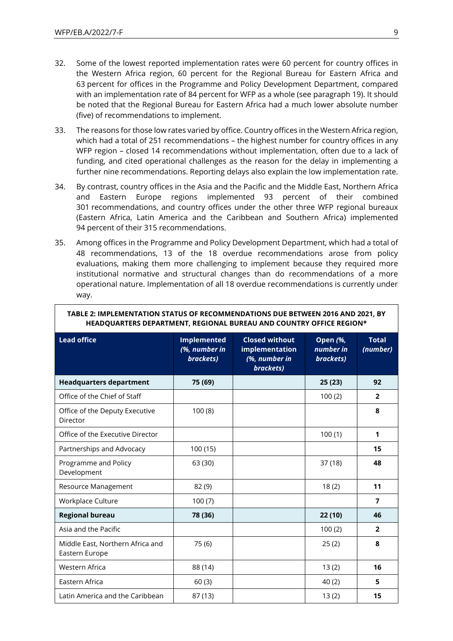- 32. Some of the lowest reported implementation rates were 60 percent for country offices in the Western Africa region, 60 percent for the Regional Bureau for Eastern Africa and 63 percent for offices in the Programme and Policy Development Department, compared with an implementation rate of 84 percent for WFP as a whole (see paragraph 19). It should be noted that the Regional Bureau for Eastern Africa had a much lower absolute number (five) of recommendations to implement.
- 33. The reasons for those low rates varied by office. Country offices in the Western Africa region, which had a total of 251 recommendations – the highest number for country offices in any WFP region – closed 14 recommendations without implementation, often due to a lack of funding, and cited operational challenges as the reason for the delay in implementing a further nine recommendations. Reporting delays also explain the low implementation rate.
- 34. By contrast, country offices in the Asia and the Pacific and the Middle East, Northern Africa and Eastern Europe regions implemented 93 percent of their combined 301 recommendations, and country offices under the other three WFP regional bureaux (Eastern Africa, Latin America and the Caribbean and Southern Africa) implemented 94 percent of their 315 recommendations.
- 35. Among offices in the Programme and Policy Development Department, which had a total of 48 recommendations, 13 of the 18 overdue recommendations arose from policy evaluations, making them more challenging to implement because they required more institutional normative and structural changes than do recommendations of a more operational nature. Implementation of all 18 overdue recommendations is currently under way.

| HEADQUANTEN, DEI ANTIMENT, NEGIONAE DUNEAU AND COUNTNT UITTCE NEGION |                                                  |                                                                       |                                           |                          |  |  |
|----------------------------------------------------------------------|--------------------------------------------------|-----------------------------------------------------------------------|-------------------------------------------|--------------------------|--|--|
| <b>Lead office</b>                                                   | <b>Implemented</b><br>(%, number in<br>brackets) | <b>Closed without</b><br>implementation<br>(%, number in<br>brackets) | <b>Open (%,</b><br>number in<br>brackets) | <b>Total</b><br>(number) |  |  |
| <b>Headquarters department</b>                                       | 75 (69)                                          |                                                                       | 25(23)                                    | 92                       |  |  |
| Office of the Chief of Staff                                         |                                                  |                                                                       | 100(2)                                    | $\overline{2}$           |  |  |
| Office of the Deputy Executive<br>Director                           | 100(8)                                           |                                                                       |                                           | 8                        |  |  |
| Office of the Executive Director                                     |                                                  |                                                                       | 100(1)                                    | 1                        |  |  |
| Partnerships and Advocacy                                            | 100 (15)                                         |                                                                       |                                           | 15                       |  |  |
| Programme and Policy<br>Development                                  | 63 (30)                                          |                                                                       | 37(18)                                    | 48                       |  |  |
| Resource Management                                                  | 82 (9)                                           |                                                                       | 18(2)                                     | 11                       |  |  |
| Workplace Culture                                                    | 100(7)                                           |                                                                       |                                           | $\overline{ }$           |  |  |
| <b>Regional bureau</b>                                               | 78 (36)                                          |                                                                       | 22 (10)                                   | 46                       |  |  |
| Asia and the Pacific                                                 |                                                  |                                                                       | 100(2)                                    | $\overline{2}$           |  |  |
| Middle East, Northern Africa and<br>Eastern Europe                   | 75(6)                                            |                                                                       | 25(2)                                     | 8                        |  |  |
| Western Africa                                                       | 88 (14)                                          |                                                                       | 13(2)                                     | 16                       |  |  |
| Eastern Africa                                                       | 60(3)                                            |                                                                       | 40(2)                                     | 5                        |  |  |
| Latin America and the Caribbean                                      | 87 (13)                                          |                                                                       | 13(2)                                     | 15                       |  |  |

#### **TABLE 2: IMPLEMENTATION STATUS OF RECOMMENDATIONS DUE BETWEEN 2016 AND 2021, BY HEADQUARTERS DEPARTMENT, REGIONAL BUREAU AND COUNTRY OFFICE REGION\***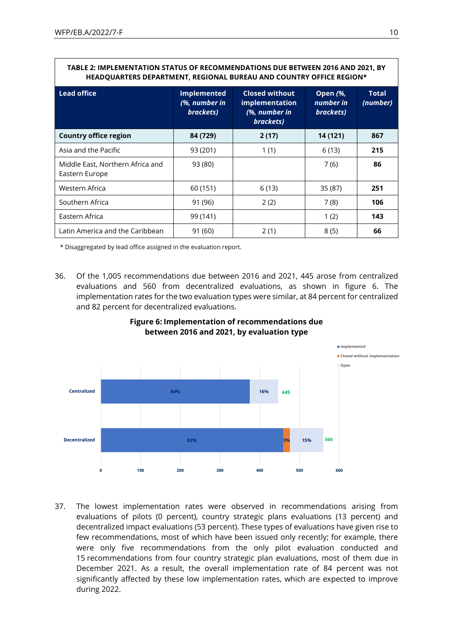#### **TABLE 2: IMPLEMENTATION STATUS OF RECOMMENDATIONS DUE BETWEEN 2016 AND 2021, BY HEADQUARTERS DEPARTMENT, REGIONAL BUREAU AND COUNTRY OFFICE REGION\***

| <b>Lead office</b>                                 | <b>Implemented</b><br>(%, number in<br>brackets) | <b>Closed without</b><br>implementation<br>(%, number in<br>brackets) | <b>Open (%,</b><br>number in<br>brackets) | <b>Total</b><br>(number) |
|----------------------------------------------------|--------------------------------------------------|-----------------------------------------------------------------------|-------------------------------------------|--------------------------|
| <b>Country office region</b>                       | 84 (729)                                         | 2(17)                                                                 | 14 (121)                                  | 867                      |
| Asia and the Pacific                               | 93 (201)                                         | 1(1)                                                                  | 6(13)                                     | 215                      |
| Middle East, Northern Africa and<br>Eastern Europe | 93 (80)                                          |                                                                       | 7(6)                                      | 86                       |
| Western Africa                                     | 60 (151)                                         | 6(13)                                                                 | 35 (87)                                   | 251                      |
| Southern Africa                                    | 91 (96)                                          | 2(2)                                                                  | 7(8)                                      | 106                      |
| Eastern Africa                                     | 99 (141)                                         |                                                                       | 1(2)                                      | 143                      |
| Latin America and the Caribbean                    | 91 (60)                                          | 2(1)                                                                  | 8(5)                                      | 66                       |

\* Disaggregated by lead office assigned in the evaluation report.

36. Of the 1,005 recommendations due between 2016 and 2021, 445 arose from centralized evaluations and 560 from decentralized evaluations, as shown in figure 6. The implementation rates for the two evaluation types were similar, at 84 percent for centralized and 82 percent for decentralized evaluations.



#### **Figure 6: Implementation of recommendations due between 2016 and 2021, by evaluation type**

37. The lowest implementation rates were observed in recommendations arising from evaluations of pilots (0 percent), country strategic plans evaluations (13 percent) and decentralized impact evaluations (53 percent). These types of evaluations have given rise to few recommendations, most of which have been issued only recently; for example, there were only five recommendations from the only pilot evaluation conducted and 15 recommendations from four country strategic plan evaluations, most of them due in December 2021. As a result, the overall implementation rate of 84 percent was not significantly affected by these low implementation rates, which are expected to improve during 2022.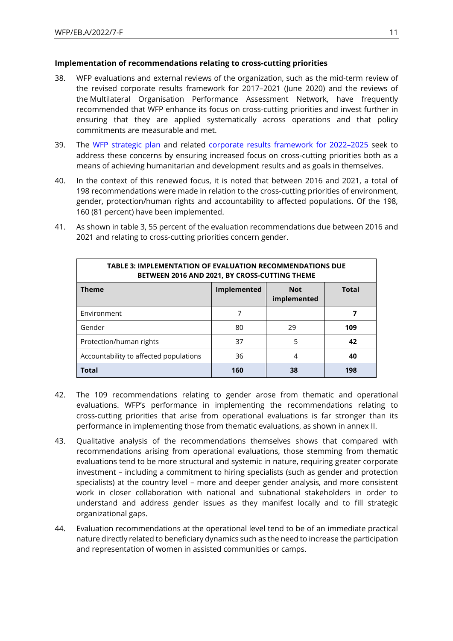#### **Implementation of recommendations relating to cross-cutting priorities**

- 38. WFP evaluations and external reviews of the organization, such as the mid-term review of the revised corporate results framework for 2017–2021 (June 2020) and the reviews of the Multilateral Organisation Performance Assessment Network, have frequently recommended that WFP enhance its focus on cross-cutting priorities and invest further in ensuring that they are applied systematically across operations and that policy commitments are measurable and met.
- 39. The [WFP strategic plan](https://executiveboard.wfp.org/document_download/WFP-0000132205) and related [corporate results framework for 2022](https://executiveboard.wfp.org/document_download/WFP-0000135897)–2025 seek to address these concerns by ensuring increased focus on cross-cutting priorities both as a means of achieving humanitarian and development results and as goals in themselves.
- 40. In the context of this renewed focus, it is noted that between 2016 and 2021, a total of 198 recommendations were made in relation to the cross-cutting priorities of environment, gender, protection/human rights and accountability to affected populations. Of the 198, 160 (81 percent) have been implemented.

| <b>TABLE 3: IMPLEMENTATION OF EVALUATION RECOMMENDATIONS DUE</b><br>BETWEEN 2016 AND 2021, BY CROSS-CUTTING THEME |    |    |     |  |  |  |
|-------------------------------------------------------------------------------------------------------------------|----|----|-----|--|--|--|
| <b>Theme</b><br>Implemented<br><b>Total</b><br><b>Not</b><br>implemented                                          |    |    |     |  |  |  |
| Environment                                                                                                       | 7  |    |     |  |  |  |
| Gender                                                                                                            | 80 | 29 | 109 |  |  |  |
| Protection/human rights                                                                                           | 37 | 5  | 42  |  |  |  |
| Accountability to affected populations                                                                            | 36 | 4  | 40  |  |  |  |
| <b>Total</b><br>160<br>38<br>198                                                                                  |    |    |     |  |  |  |

41. As shown in table 3, 55 percent of the evaluation recommendations due between 2016 and 2021 and relating to cross-cutting priorities concern gender.

- 42. The 109 recommendations relating to gender arose from thematic and operational evaluations. WFP's performance in implementing the recommendations relating to cross-cutting priorities that arise from operational evaluations is far stronger than its performance in implementing those from thematic evaluations, as shown in annex II.
- 43. Qualitative analysis of the recommendations themselves shows that compared with recommendations arising from operational evaluations, those stemming from thematic evaluations tend to be more structural and systemic in nature, requiring greater corporate investment – including a commitment to hiring specialists (such as gender and protection specialists) at the country level – more and deeper gender analysis, and more consistent work in closer collaboration with national and subnational stakeholders in order to understand and address gender issues as they manifest locally and to fill strategic organizational gaps.
- 44. Evaluation recommendations at the operational level tend to be of an immediate practical nature directly related to beneficiary dynamics such as the need to increase the participation and representation of women in assisted communities or camps.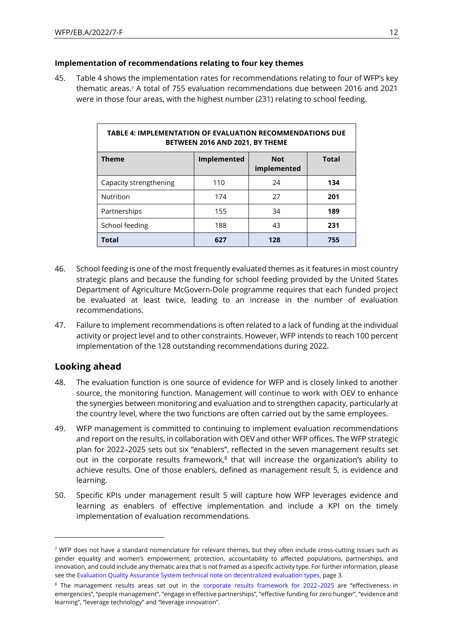#### **Implementation of recommendations relating to four key themes**

45. Table 4 shows the implementation rates for recommendations relating to four of WFP's key thematic areas.<sup>7</sup> A total of 755 evaluation recommendations due between 2016 and 2021 were in those four areas, with the highest number (231) relating to school feeding.

| <b>TABLE 4: IMPLEMENTATION OF EVALUATION RECOMMENDATIONS DUE</b><br>BETWEEN 2016 AND 2021, BY THEME |             |                           |              |  |  |  |
|-----------------------------------------------------------------------------------------------------|-------------|---------------------------|--------------|--|--|--|
| <b>Theme</b>                                                                                        | Implemented | <b>Not</b><br>implemented | <b>Total</b> |  |  |  |
| Capacity strengthening                                                                              | 110         | 24                        | 134          |  |  |  |
| Nutrition                                                                                           | 174         | 27                        | 201          |  |  |  |
| Partnerships                                                                                        | 155         | 34                        | 189          |  |  |  |
| School feeding                                                                                      | 188         | 43                        | 231          |  |  |  |
| <b>Total</b>                                                                                        | 627         | 128                       | 755          |  |  |  |

- 46. School feeding is one of the most frequently evaluated themes as it features in most country strategic plans and because the funding for school feeding provided by the United States Department of Agriculture McGovern-Dole programme requires that each funded project be evaluated at least twice, leading to an increase in the number of evaluation recommendations.
- 47. Failure to implement recommendations is often related to a lack of funding at the individual activity or project level and to other constraints. However, WFP intends to reach 100 percent implementation of the 128 outstanding recommendations during 2022.

## **Looking ahead**

- 48. The evaluation function is one source of evidence for WFP and is closely linked to another source, the monitoring function. Management will continue to work with OEV to enhance the synergies between monitoring and evaluation and to strengthen capacity, particularly at the country level, where the two functions are often carried out by the same employees.
- 49. WFP management is committed to continuing to implement evaluation recommendations and report on the results, in collaboration with OEV and other WFP offices. The WFP strategic plan for 2022–2025 sets out six "enablers", reflected in the seven management results set out in the corporate results framework, $8$  that will increase the organization's ability to achieve results. One of those enablers, defined as management result 5, is evidence and learning.
- 50. Specific KPIs under management result 5 will capture how WFP leverages evidence and learning as enablers of effective implementation and include a KPI on the timely implementation of evaluation recommendations.

<sup>&</sup>lt;sup>7</sup> WFP does not have a standard nomenclature for relevant themes, but they often include cross-cutting issues such as gender equality and women's empowerment, protection, accountability to affected populations, partnerships, and innovation, and could include any thematic area that is not framed as a specific activity type. For further information, please see th[e Evaluation Quality Assurance System technical note on decentralized evaluation types,](https://docs.wfp.org/api/documents/WFP-0000121995/download/) page 3.

<sup>&</sup>lt;sup>8</sup> The management results areas set out in the [corporate results framework for 2022](https://executiveboard.wfp.org/document_download/WFP-0000135897)–2025 are "effectiveness in emergencies", "people management", "engage in effective partnerships", "effective funding for zero hunger", "evidence and learning", "leverage technology" and "leverage innovation".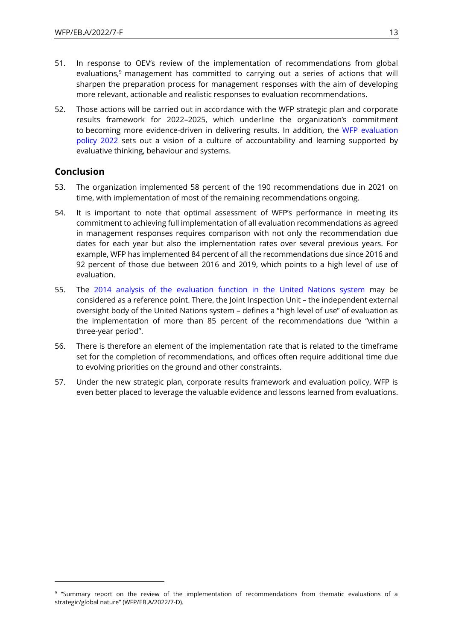- 51. In response to OEV's review of the implementation of recommendations from global evaluations,<sup>9</sup> management has committed to carrying out a series of actions that will sharpen the preparation process for management responses with the aim of developing more relevant, actionable and realistic responses to evaluation recommendations.
- 52. Those actions will be carried out in accordance with the WFP strategic plan and corporate results framework for 2022–2025, which underline the organization's commitment to becoming more evidence-driven in delivering results. In addition, the [WFP evaluation](https://executiveboard.wfp.org/document_download/WFP-0000135899)  [policy](https://executiveboard.wfp.org/document_download/WFP-0000135899) 2022 sets out a vision of a culture of accountability and learning supported by evaluative thinking, behaviour and systems.

## **Conclusion**

- 53. The organization implemented 58 percent of the 190 recommendations due in 2021 on time, with implementation of most of the remaining recommendations ongoing.
- 54. It is important to note that optimal assessment of WFP's performance in meeting its commitment to achieving full implementation of all evaluation recommendations as agreed in management responses requires comparison with not only the recommendation due dates for each year but also the implementation rates over several previous years. For example, WFP has implemented 84 percent of all the recommendations due since 2016 and 92 percent of those due between 2016 and 2019, which points to a high level of use of evaluation.
- 55. The [2014 analysis of the evaluation function in the United Nations system](https://www.unjiu.org/sites/www.unjiu.org/files/jiu_document_files/products/en/reports-notes/JIU%20Products/JIU_REP_2014_6_English.pdf) may be considered as a reference point. There, the Joint Inspection Unit – the independent external oversight body of the United Nations system – defines a "high level of use" of evaluation as the implementation of more than 85 percent of the recommendations due "within a three-year period".
- 56. There is therefore an element of the implementation rate that is related to the timeframe set for the completion of recommendations, and offices often require additional time due to evolving priorities on the ground and other constraints.
- 57. Under the new strategic plan, corporate results framework and evaluation policy, WFP is even better placed to leverage the valuable evidence and lessons learned from evaluations.

<sup>9</sup> "Summary report on the review of the implementation of recommendations from thematic evaluations of a strategic/global nature" (WFP/EB.A/2022/7-D).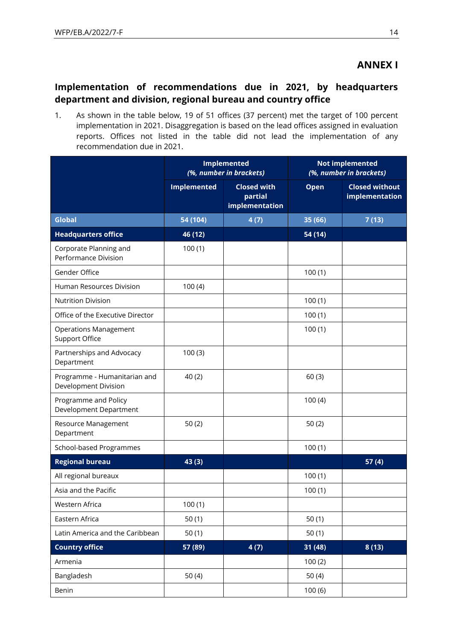## **ANNEX I**

## **Implementation of recommendations due in 2021, by headquarters department and division, regional bureau and country office**

1. As shown in the table below, 19 of 51 offices (37 percent) met the target of 100 percent implementation in 2021. Disaggregation is based on the lead offices assigned in evaluation reports. Offices not listed in the table did not lead the implementation of any recommendation due in 2021.

|                                                       | <b>Implemented</b><br>(%, number in brackets) |                                                 | <b>Not implemented</b><br>(%, number in brackets) |                                         |  |
|-------------------------------------------------------|-----------------------------------------------|-------------------------------------------------|---------------------------------------------------|-----------------------------------------|--|
|                                                       | <b>Implemented</b>                            | <b>Closed with</b><br>partial<br>implementation | Open                                              | <b>Closed without</b><br>implementation |  |
| <b>Global</b>                                         | 54 (104)                                      | 4(7)                                            | 35 (66)                                           | 7(13)                                   |  |
| <b>Headquarters office</b>                            | 46 (12)                                       |                                                 | 54 (14)                                           |                                         |  |
| Corporate Planning and<br>Performance Division        | 100(1)                                        |                                                 |                                                   |                                         |  |
| Gender Office                                         |                                               |                                                 | 100(1)                                            |                                         |  |
| Human Resources Division                              | 100(4)                                        |                                                 |                                                   |                                         |  |
| <b>Nutrition Division</b>                             |                                               |                                                 | 100(1)                                            |                                         |  |
| Office of the Executive Director                      |                                               |                                                 | 100(1)                                            |                                         |  |
| <b>Operations Management</b><br><b>Support Office</b> |                                               |                                                 | 100(1)                                            |                                         |  |
| Partnerships and Advocacy<br>Department               | 100(3)                                        |                                                 |                                                   |                                         |  |
| Programme - Humanitarian and<br>Development Division  | 40(2)                                         |                                                 | 60(3)                                             |                                         |  |
| Programme and Policy<br>Development Department        |                                               |                                                 | 100(4)                                            |                                         |  |
| Resource Management<br>Department                     | 50(2)                                         |                                                 | 50(2)                                             |                                         |  |
| School-based Programmes                               |                                               |                                                 | 100(1)                                            |                                         |  |
| <b>Regional bureau</b>                                | 43 (3)                                        |                                                 |                                                   | 57(4)                                   |  |
| All regional bureaux                                  |                                               |                                                 | 100(1)                                            |                                         |  |
| Asia and the Pacific                                  |                                               |                                                 | 100(1)                                            |                                         |  |
| Western Africa                                        | 100(1)                                        |                                                 |                                                   |                                         |  |
| Eastern Africa                                        | 50(1)                                         |                                                 | 50 $(1)$                                          |                                         |  |
| Latin America and the Caribbean                       | 50(1)                                         |                                                 | 50(1)                                             |                                         |  |
| <b>Country office</b>                                 | 57 (89)                                       | 4(7)                                            | 31(48)                                            | 8(13)                                   |  |
| Armenia                                               |                                               |                                                 | 100(2)                                            |                                         |  |
| Bangladesh                                            | 50 $(4)$                                      |                                                 | 50 $(4)$                                          |                                         |  |
| Benin                                                 |                                               |                                                 | 100(6)                                            |                                         |  |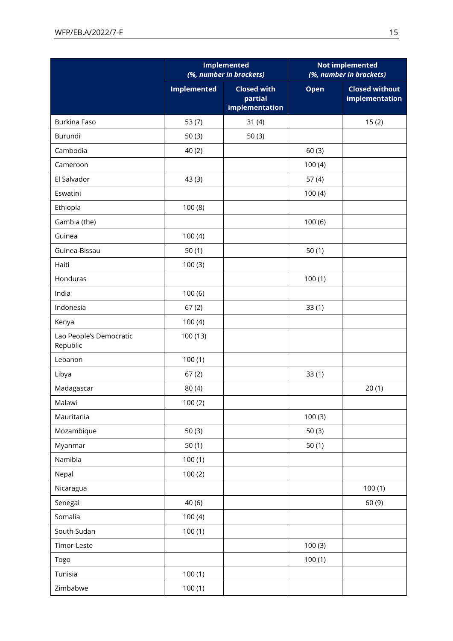|                                     |                    | <b>Implemented</b><br>(%, number in brackets)   | <b>Not implemented</b><br>(%, number in brackets) |                                         |  |
|-------------------------------------|--------------------|-------------------------------------------------|---------------------------------------------------|-----------------------------------------|--|
|                                     | <b>Implemented</b> | <b>Closed with</b><br>partial<br>implementation | Open                                              | <b>Closed without</b><br>implementation |  |
| Burkina Faso                        | 53(7)              | 31(4)                                           |                                                   | 15(2)                                   |  |
| Burundi                             | 50(3)              | 50(3)                                           |                                                   |                                         |  |
| Cambodia                            | 40(2)              |                                                 | 60(3)                                             |                                         |  |
| Cameroon                            |                    |                                                 | 100(4)                                            |                                         |  |
| El Salvador                         | 43 (3)             |                                                 | 57(4)                                             |                                         |  |
| Eswatini                            |                    |                                                 | 100(4)                                            |                                         |  |
| Ethiopia                            | 100(8)             |                                                 |                                                   |                                         |  |
| Gambia (the)                        |                    |                                                 | 100(6)                                            |                                         |  |
| Guinea                              | 100(4)             |                                                 |                                                   |                                         |  |
| Guinea-Bissau                       | 50(1)              |                                                 | 50(1)                                             |                                         |  |
| Haiti                               | 100(3)             |                                                 |                                                   |                                         |  |
| Honduras                            |                    |                                                 | 100(1)                                            |                                         |  |
| India                               | 100(6)             |                                                 |                                                   |                                         |  |
| Indonesia                           | 67(2)              |                                                 | 33(1)                                             |                                         |  |
| Kenya                               | 100(4)             |                                                 |                                                   |                                         |  |
| Lao People's Democratic<br>Republic | 100 (13)           |                                                 |                                                   |                                         |  |
| Lebanon                             | 100(1)             |                                                 |                                                   |                                         |  |
| Libya                               | 67(2)              |                                                 | 33(1)                                             |                                         |  |
| Madagascar                          | 80(4)              |                                                 |                                                   | 20(1)                                   |  |
| Malawi                              | 100(2)             |                                                 |                                                   |                                         |  |
| Mauritania                          |                    |                                                 | 100(3)                                            |                                         |  |
| Mozambique                          | 50(3)              |                                                 | 50(3)                                             |                                         |  |
| Myanmar                             | 50(1)              |                                                 | 50(1)                                             |                                         |  |
| Namibia                             | 100(1)             |                                                 |                                                   |                                         |  |
| Nepal                               | 100(2)             |                                                 |                                                   |                                         |  |
| Nicaragua                           |                    |                                                 |                                                   | 100(1)                                  |  |
| Senegal                             | 40(6)              |                                                 |                                                   | 60(9)                                   |  |
| Somalia                             | 100(4)             |                                                 |                                                   |                                         |  |
| South Sudan                         | 100(1)             |                                                 |                                                   |                                         |  |
| Timor-Leste                         |                    |                                                 | 100(3)                                            |                                         |  |
| Togo                                |                    |                                                 | 100(1)                                            |                                         |  |
| Tunisia                             | 100(1)             |                                                 |                                                   |                                         |  |
| Zimbabwe                            | 100(1)             |                                                 |                                                   |                                         |  |